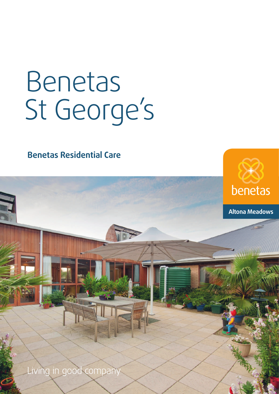# Benetas St George's

**Benetas Residential Care**

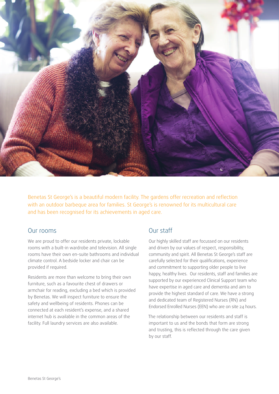

Benetas St George's is a beautiful modern facility. The gardens offer recreation and reflection with an outdoor barbeque area for families. St George's is renowned for its multicultural care and has been recognised for its achievements in aged care.

## Our rooms

We are proud to offer our residents private, lockable rooms with a built-in wardrobe and television. All single rooms have their own en-suite bathrooms and individual climate control. A bedside locker and chair can be provided if required.

Residents are more than welcome to bring their own furniture, such as a favourite chest of drawers or armchair for reading, excluding a bed which is provided by Benetas. We will inspect furniture to ensure the safety and wellbeing of residents. Phones can be connected at each resident's expense, and a shared internet hub is available in the common areas of the facility. Full laundry services are also available.

## Our staff

Our highly skilled staff are focussed on our residents and driven by our values of respect, responsibility, community and spirit. All Benetas St George's staff are carefully selected for their qualifications, experience and commitment to supporting older people to live happy, healthy lives. Our residents, staff and families are supported by our experienced Clinical Support team who have expertise in aged care and dementia and aim to provide the highest standard of care. We have a strong and dedicated team of Registered Nurses (RN) and Endorsed Enrolled Nurses (EEN) who are on site 24 hours.

The relationship between our residents and staff is important to us and the bonds that form are strong and trusting, this is reflected through the care given by our staff.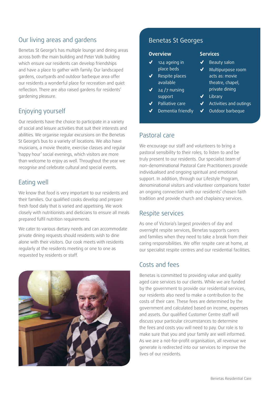# Our living areas and gardens

Benetas St George's has multiple lounge and dining areas across both the main building and Peter Volk building which ensure our residents can develop friendships and have a place to gather with family. Our landscaped gardens, courtyards and outdoor barbeque area offer our residents a wonderful place for recreation and quiet reflection. There are also raised gardens for residents' gardening pleasure.

# Enjoying yourself

Our residents have the choice to participate in a variety of social and leisure activities that suit their interests and abilities. We organise regular excursions on the Benetas St George's bus to a variety of locations. We also have musicians, a movie theatre, exercise classes and regular 'happy hour' social evenings, which visitors are more than welcome to enjoy as well. Throughout the year we recognise and celebrate cultural and special events.

# Eating well

We know that food is very important to our residents and their families. Our qualified cooks develop and prepare fresh food daily that is varied and appetising. We work closely with nutritionists and dieticians to ensure all meals prepared fulfil nutrition requirements.

We cater to various dietary needs and can accommodate private dining requests should residents wish to dine alone with their visitors. Our cook meets with residents regularly at the residents meeting or one to one as requested by residents or staff.



# Benetas St Georges

#### **Overview**

- ✓ 124 ageing in place beds
- Respite places available
- $24 / 7$  nursing support
- Palliative care
- Dementia friendly
- **Services**
	- Beauty salon
- Multipurpose room acts as: movie theatre, chapel, private dining
- Library
- Activities and outings
- Outdoor barbeque

## Pastoral care

We encourage our staff and volunteers to bring a pastoral sensibility to their roles, to listen to and be truly present to our residents. Our specialist team of non-denominational Pastoral Care Practitioners provide individualised and ongoing spiritual and emotional support. In addition, through our Lifestyle Program, denominational visitors and volunteer companions foster an ongoing connection with our residents' chosen faith tradition and provide church and chaplaincy services.

## Respite services

As one of Victoria's largest providers of day and overnight respite services, Benetas supports carers and families when they need to take a break from their caring responsibilities. We offer respite care at home, at our specialist respite centres and our residential facilities.

# Costs and fees

Benetas is committed to providing value and quality aged care services to our clients. While we are funded by the government to provide our residential services, our residents also need to make a contribution to the costs of their care. These fees are determined by the government and calculated based on income, expenses and assets. Our qualified Customer Centre staff will discuss your particular circumstances to determine the fees and costs you will need to pay. Our role is to make sure that you and your family are well informed. As we are a not-for-profit organisation, all revenue we generate is redirected into our services to improve the lives of our residents.